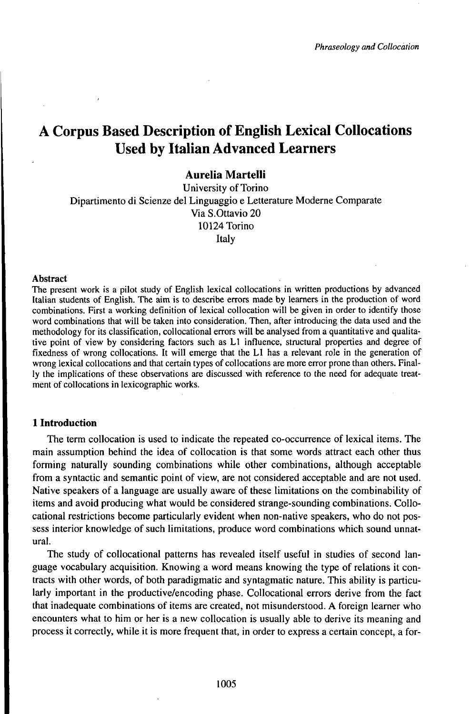# A Corpus Based Description of English Lexical Collocations Used by Italian Advanced Learners

## **Aurelia Martelli**

University of Torino Dipartimento di Scienze del Linguaggio e Letterature Moderne Comparate Via S.Ottavio 20 10124 Torino Italy

#### **Abstract**

The present work is a pilot study of English lexical collocations in written productions by advanced Italian students of English. The aim is to describe errors made by learners in the production of word combinations. First a working definition of lexical collocation will be given in order to identify those word combinations that will be taken into consideration. Then, after introducing the data used and the methodology for its classification, collocational errors will be analysed from a quantitative and qualitative point of view by considering factors such as L1 influence, structural properties and degree of fixedness of wrong collocations. It will emerge that the L1 has a relevant role in the generation of wrong lexical collocations and that certain types of collocations are more error prone than others. Finally the implications of these observations are discussed with reference to the need for adequate treatment of collocations in lexicographic works.

#### **1 Introduction**

The term collocation is used to indicate the repeated co-occurrence of lexical items. The main assumption behind the idea of collocation is that some words attract each other thus forming naturally sounding combinations while other combinations, although acceptable from a syntactic and semantic point of view, are not considered acceptable and are not used. Native speakers of a language are usually aware of these limitations on the combinability of items and avoid producing what would be considered strange-sounding combinations. Collocational restrictions become particularly evident when non-native speakers, who do not possess interior knowledge of such limitations, produce word combinations which sound unnatural.

The study of collocational patterns has revealed itself useful in studies of second language vocabulary acquisition. Knowing a word means knowing the type of relations it contracts with other words, of both paradigmatic and syntagmatic nature. This ability is particularly important in the productive/encoding phase. Collocational errors derive from the fact that inadequate combinations of items are created, not misunderstood. A foreign learner who encounters what to him or her is a new collocation is usually able to derive its meaning and process it correctly, while it is more frequent that, in order to express a certain concept, a for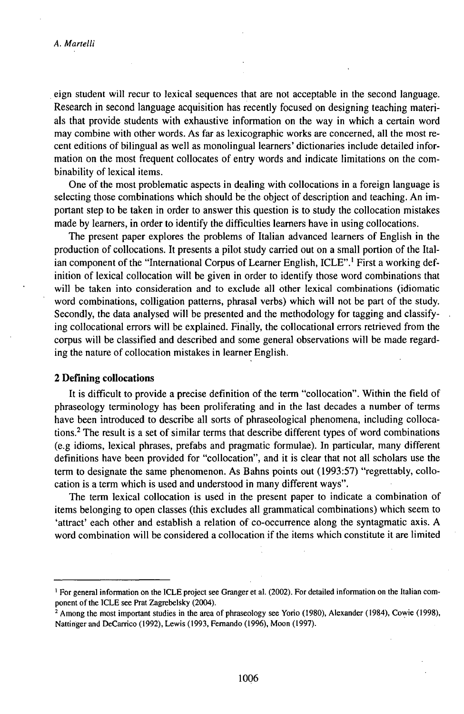eign student will recur to lexical sequences that are not acceptable in the second language. Research in second language acquisition has recently focused on designing teaching materials that provide students with exhaustive information on the way in which a certain word may combine with other words. As far as lexicographic works are concerned, all the most recent editions of bilingual as well as monolingual learners' dictionaries include detailed information on the most frequent collocates of entry words and indicate limitations on the combinability of lexical items.

One of the most problematic aspects in dealing with collocations in a foreign language is selecting those combinations which should be the object of description and teaching. An important step to be taken in order to answer this question is to study the collocation mistakes made by learners, in order to identify the difficulties learners have in using collocations.

The present paper explores the problems of Italian advanced learners of English in the production of collocations. It presents a pilot study carried out on a small portion of the Italian component of the "International Corpus of Learner English, ICLE".<sup>1</sup> First a working definition of lexical collocation will be given in order to identify those word combinations that will be taken into consideration and to exclude all other lexical combinations (idiomatic word combinations, colligation patterns, phrasal verbs) which will not be part of the study. Secondly, the data analysed will be presented and the methodology for tagging and classifying collocational errors will be explained. Finally, the collocational errors retrieved from the corpus will be classified and described and some general observations will be made regarding the nature of collocation mistakes in learner English.

### **2 Defining collocations**

It is difficult to provide a precise definition of the term "collocation". Within the field of phraseology terminology has been proliferating and in the last decades a number of terms have been introduced to describe all sorts of phraseological phenomena, including collocations.<sup>2</sup> The result is a set of similar terms that describe different types of word combinations (e.g idioms, lexical phrases, prefabs and pragmatic formulae). In particular, many different definitions have been provided for "collocation", and it is clear that not all scholars use the term to designate the same phenomenon. As Bahns points out (1993:57) "regrettably, collocation is a term which is used and understood in many different ways".

The term lexical collocation is used in the present paper to indicate a combination of items belonging to open classes (this excludes all grammatical combinations) which seem to 'attract' each other and establish a relation of co-occurrence along the syntagmatic axis. A word combination will be considered a collocation if the items which constitute it are limited

<sup>1</sup> For general information on the ICLE project see Granger et al. (2002). For detailed information on the Italian component of the ICLE see Prat Zagrebelsky (2004).

<sup>2</sup> Among the most important studies in the area of phraseology see Yorio (1980), Alexander (1984), Cowie (1998), Nattinger and DeCarrico (1992), Lewis (1993, Fernando (1996), Moon (1997).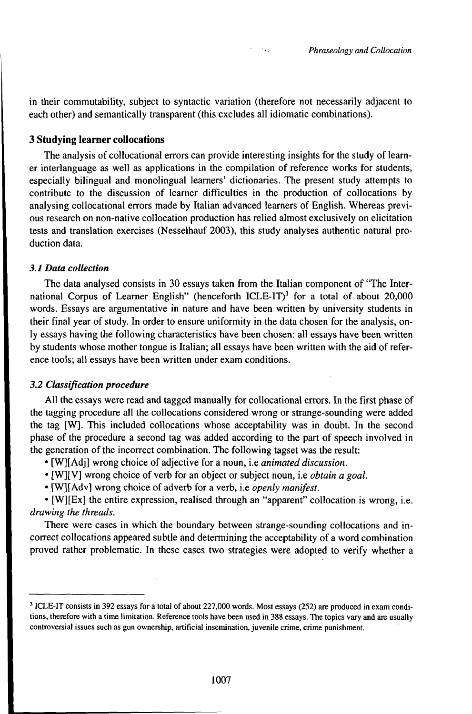in their commutability, subject to syntactic variation (therefore not necessarily adjacent to each other) and semantically transparent (this excludes all idiomatic combinations).

 $\sim 10^{-1}$ 

#### **3 Studying learner collocations**

The analysis of collocational errors can provide interesting insights for the study of learner interlanguage as well as applications in the compilation of reference works for students, especially bilingual and monolingual learners' dictionaries. The present study attempts to contribute to the discussion of learner difficulties in the production of collocations by analysing collocational errors made by Italian advanced learners of English. Whereas previous research on non-native collocation production has relied almost exclusively on elicitation tests and translation exercises (Nesselhauf 2003), this study analyses authentic natural production data.

#### *3.1 Data collection*

The data analysed consists in 30 essays taken from the Italian component of "The International Corpus of Learner English" (henceforth ICLE-IT)<sup>3</sup> for a total of about 20,000 words. Essays are argumentative in nature and have been written by university students in their final year of study. In order to ensure uniformity in the data chosen for the analysis, only essays having the following characteristics have been chosen: all essays have been written by students whose mother tongue is Italian; all essays have been written with the aid ofreference tools; all essays have been written under exam conditions.

#### **3.2 Classification procedure**

All the essays were read and tagged manually for collocational errors. In the first phase of the tagging procedure all the collocations considered wrong or strange-sounding were added the tag [W]. This included collocations whose acceptability was in doubt. In the second phase of the procedure a second tag was added according to the part of speech involved in the generation of the incorrect combination. The following tagset was the result:

- [W][Adj] wrong choice of adjective for a noun, i.e *animated discussion*.
- *'* [W][V] wrong choice of verb for an object or subject noun, i.e *obtain a goal.*
- \* [W][Adv] wrong choice of adverb for a verb, i.e *openly manifest.*

\* [W][Ex] the entire expression, realised through an "apparent" collocation is wrong, i.e. *drawing the threads.*

There were cases in which the boundary between strange-sounding collocations and incorrect collocations appeared subtle and determining the acceptability of a word combination proved rather problematic. In these cases two strategies were adopted to verify whether a

<sup>3</sup> ICLE-IT consists in 392 essays for a total of about 227,000 words. Most essays (252) are produced in exam conditions, therefore with a time limitation. Reference tools have been used in 388 essays. The topics vary and are usually controversial issues such as gun ownership, artificial insemination, juvenile crime, crime punishment.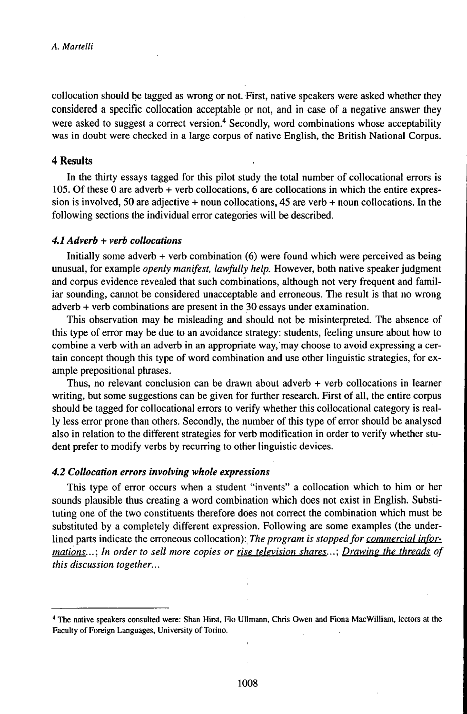collocation should be tagged as wrong or not. First, native speakers were asked whether they considered a specific collocation acceptable or not, and in case of a negative answer they were asked to suggest a correct version.<sup>4</sup> Secondly, word combinations whose acceptability was in doubt were checked in a large corpus of native English, the British National Corpus.

#### **4 Results**

In the thirty essays tagged for this pilot study the total number of collocational errors is 105. Of these 0 are adverb + verb collocations, 6 are collocations in which the entire expression is involved, 50 are adjective + noun collocations, 45 are verb + noun collocations. In the following sections the individual error categories will be described.

## *4.1 Adverb + verb collocations*

Initially some adverb + verb combination (6) were found which were perceived as being unusual, for example *openly manifest, lawfully help.* However, both native speakerjudgment and corpus evidence revealed that such combinations, although not very frequent and familiar sounding, cannot be considered unacceptable and erroneous. The result is that no wrong adverb + verb combinations are present in the 30 essays under examination.

This observation may be misleading and should not be misinterpreted. The absence of this type oferror may be due to an avoidance strategy: students, feeling unsure about how to combine a verb with an adverb in an appropriate way, may choose to avoid expressing a certain concept though this type of word combination and use other linguistic strategies, for example prepositional phrases.

Thus, no relevant conclusion can be drawn about adverb + verb collocations in learner writing, but some suggestions can be given for further research. First of all, the entire corpus should be tagged for collocational errors to verify whether this collocational category is really less error prone than others. Secondly, the number of this type of error should be analysed also in relation to the different strategies for verb modification in order to verify whether student prefer to modify verbs by recurring to other linguistic devices.

#### *4.2 Collocation errors involving whole expressions*

This type of error occurs when a student "invents" a collocation which to him or her sounds plausible thus creating a word combination which does not exist in English. Substituting one of the two constituents therefore does not correct the combination which must be substituted by a completely different expression. Following are some examples (the underlined parts indicate the erroneous collocation): *The program is stoppedfor commercial informations...: In order to sell more copies or rise television shares...: Drawing the threads of this discussion together...*

<sup>4</sup> The native speakers consulted were: Shan Hirst, Flo Ullmann, Chris Owen and Fiona MacWilliam, lectors at the Faculty of Foreign Languages, University of Torino.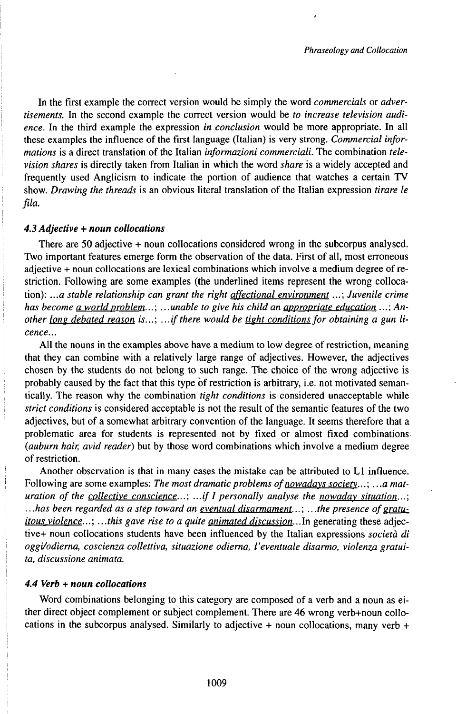In the first example the correct version would be simply the word *commercials* or *advertisements.* In the second example the correct version would be *to increase television audience.* In the third example the expression *in conclusion* would be more appropriate. In all these examples the influence of the first language (Italian) is very strong. *Commercial informations* is a direct translation of the Italian *informazioni commerciali.* The combination *television shares* is directly taken from Italian in which the word *share* is a widely accepted and frequently used Anglicism to indicate the portion of audience that watches a certain TV show. *Drawing the threads* is an obvious literal translation of the Italian expression *tirare le fila.* 

#### *4.3 Adjective + noun collocations*

There are 50 adjective + noun collocations considered wrong in the subcorpus analysed. Two important features emerge form the observation of the data. First of all, most erroneous adjective + noun collocations are lexical combinations which involve a medium degree of restriction. Following are some examples (the underlined items represent the wrong collocation): *...a stable relationship can grant the right affectional environment*...; *Juvenile crime has become* a *world problem...; ... unable to give his child an appropriate education ...; Another long debated reason is...;* ...*if there would be <u>tight conditions</u> for <i>obtaining a gun licence...*

All the nouns in the examples above have a medium to low degree of restriction, meaning that they can combine with a relatively large range of adjectives. However, the adjectives chosen by the students do not belong to such range. The choice of the wrong adjective is probably caused by the fact that this type of restriction is arbitrary, i.e. not motivated semantically. The reason why the combination *tight conditions* is considered unacceptable while *strict conditions* is considered acceptable is not the result of the semantic features of the two adjectives, but of a somewhat arbitrary convention of the language. It seems therefore that a problematic area for students is represented not by fixed or almost fixed combinations *(auburn hair, avid reader)* but by those word combinations which involve a medium degree ofrestriction.

Another observation is that in many cases the mistake can be attributed to L1 influence. Following are some examples: The most dramatic problems of nowadays society...; ...a mat*uration ofthe collective conscience...: ...ifIpersonally analyse the nowaday situation...: ...has been regarded as a step toward an eventual disarmament...* ; ...*the presence of gratuitous violence...: ...this gave rise to a quite animated discussion..*.In generating these adjective+ noun collocations students have been influenced by the Italian expressions *società di oggi/odierna, coscienza collettiva, situazione odierna, l'eventuale disarmo, violenza gratuita, discussione animata.*

#### *4.4 Verb + noun collocations*

Word combinations belonging to this category are composed of a verb and a noun as either direct object complement or subject complement. There are 46 wrong verb+noun collocations in the subcorpus analysed. Similarly to adjective + noun collocations, many verb +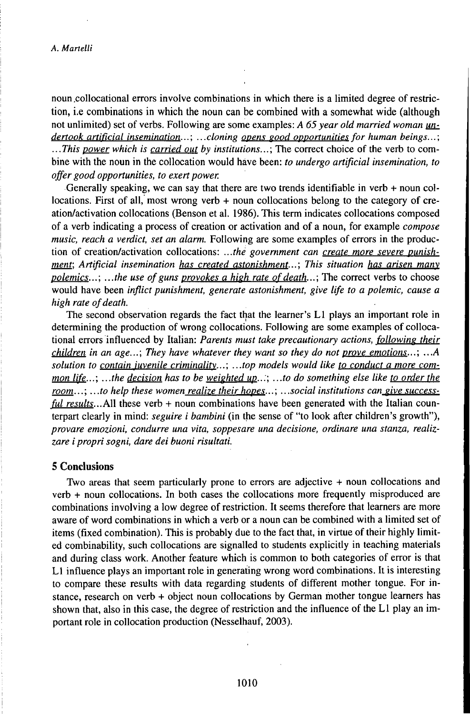noun .collocational errors involve combinations in which there is a limited degree of restriction, i.e combinations in which the noun can be combined with a somewhat wide (although not unlimited) set of verbs. Following are some examples: *A 65 year old married woman undertook artificial insemination...* ; .. *.cloning opens eood opportunities for human beings...* ; ... *This power which is carried out by institutions...* ; The correct choice of the verb to combine with the noun in the collocation would háve been: *to undergo artificial insemination, to offer good opportunities, to exert power.*

Generally speaking, we can say that there are two trends identifiable in verb + noun collocations. First of all, most wrong verb + noun collocations belong to the category of creation/activation collocations (Benson et al. 1986). This term indicates collocations composed of a verb indicating a process of creation or activation and of a noun, for example *compose music, reach a verdict, set an alarm.* Following are some examples of errors in the production of creation/activation collocations: *...thé government can create more severe punishment: Artificial insemination has created astonishment...: This situation has arisen manv polemics...;* ...the use of guns *provokes* a high rate of death...; The correct verbs to choose would have been *inflict punishment, generate astonishment, give life to a polemic, cause a high rate of death.* 

The second observation regards the fact that the learner's L1 plays an important role in determining the production of wrong collocations. Following are some examples of collocational errors influenced by Italian: *Parents must take precautionary actions, following their children in an age...; They have whatever they want so they do not prove emotions...: ...A solution to contain iuvenile criminalitv...: ...top models would like to conduct a more common life...: ...the decision has to be weighted up..:: ...to do something else like to order the room...* ; ... *to help these women realize their hopes...* ; ...*social institutions can give successful results...All* these verb + noun combinations have been generated with the Italian counterpart clearly in mind: *seguire i bambini* (in the sense of "to look after children's growth"), *provare emozioni, condurre una vita, soppesare una decisione, ordinare una stanza, realizzare i propri sogni, dare dei buoni risultati.*

#### **5 Conclusions**

Two areas that seem particularly prone to errors are adjective + noun collocations and verb + noun collocations. In both cases the collocations more frequently misproduced are combinations involving a low degree of restriction. It seems therefore that learners are more aware of word combinations in which a verb or a noun can be combined with a limited set of items (fixed combination). This is probably due to the fact that, in virtue of their highly limited combinability, such collocations are signalled to students explicitly in teaching materials and during class work. Another feature which is common to both categories of error is that L1 influence plays an important role in generating wrong word combinations. It is interesting to compare these results with data regarding students of different mother tongue. For instance, research on verb + object noun collocations by German mother tongue learners has shown that, also in this case, the degree of restriction and the influence of the L1 play an important role in collocation production (Nesselhauf, 2003).